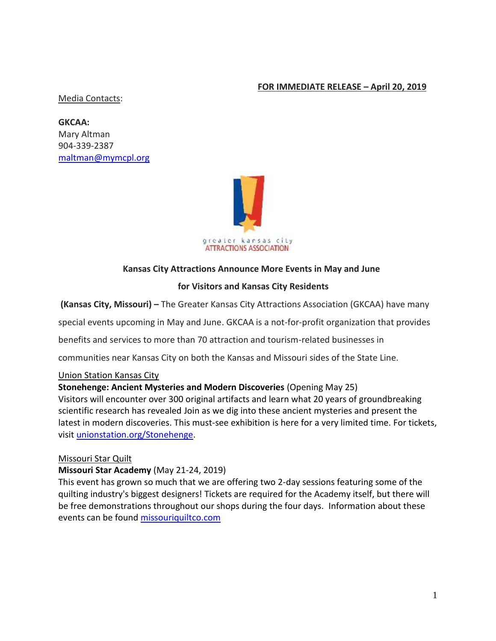### **FOR IMMEDIATE RELEASE – April 20, 2019**

#### Media Contacts:

**GKCAA:**  Mary Altman 904-339-2387 [maltman@mymcpl.org](mailto:maltman@mymcpl.org)



### **Kansas City Attractions Announce More Events in May and June**

#### **for Visitors and Kansas City Residents**

**(Kansas City, Missouri) –** The Greater Kansas City Attractions Association (GKCAA) have many

special events upcoming in May and June. GKCAA is a not-for-profit organization that provides

benefits and services to more than 70 attraction and tourism-related businesses in

communities near Kansas City on both the Kansas and Missouri sides of the State Line.

#### Union Station Kansas City

#### **Stonehenge: Ancient Mysteries and Modern Discoveries** (Opening May 25)

Visitors will encounter over 300 original artifacts and learn what 20 years of groundbreaking scientific research has revealed Join as we dig into these ancient mysteries and present the latest in modern discoveries. This must-see exhibition is here for a very limited time. For tickets, visit [unionstation.org/Stonehenge.](https://www.unionstation.org/stonehenge/)

#### Missouri Star Quilt

#### **Missouri Star Academy** (May 21-24, 2019)

This event has grown so much that we are offering two 2-day sessions featuring some of the quilting industry's biggest designers! Tickets are required for the Academy itself, but there will be free demonstrations throughout our shops during the four days. Information about these events can be found [missouriquiltco.com](https://www.missouriquiltco.com/msqc/events)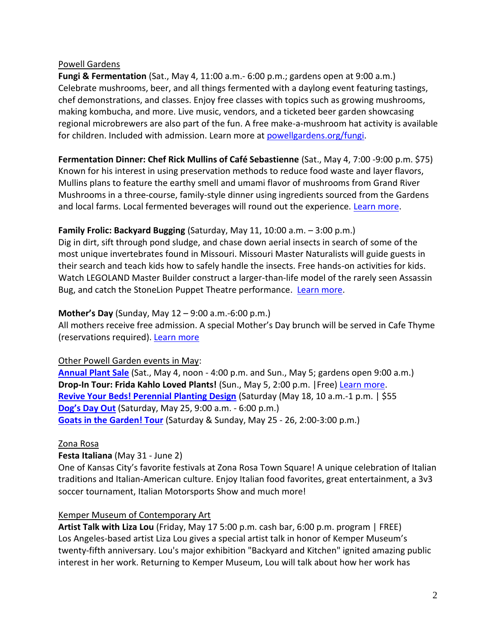#### Powell Gardens

**Fungi & Fermentation** (Sat., May 4, 11:00 a.m.- 6:00 p.m.; gardens open at 9:00 a.m.) Celebrate mushrooms, beer, and all things fermented with a daylong event featuring tastings, chef demonstrations, and classes. Enjoy free classes with topics such as growing mushrooms, making kombucha, and more. Live music, vendors, and a ticketed beer garden showcasing regional microbrewers are also part of the fun. A free make-a-mushroom hat activity is available for children. Included with admission. Learn more at [powellgardens.org/fungi.](https://powellgardens.org/homepage/events-programs-exhibitions/culinary-programs/fungi-fermentation)

**Fermentation Dinner: Chef Rick Mullins of Café Sebastienne** (Sat., May 4, 7:00 -9:00 p.m. \$75) Known for his interest in using preservation methods to reduce food waste and layer flavors, Mullins plans to feature the earthy smell and umami flavor of mushrooms from Grand River Mushrooms in a three-course, family-style dinner using ingredients sourced from the Gardens and local farms. Local fermented beverages will round out the experience. [Learn more.](https://25043p.blackbaudhosting.com/25043p/fermentation-dinner-chef-rick-mullins-of-cafe--sebastienne)

### **Family Frolic: Backyard Bugging** (Saturday, May 11, 10:00 a.m. – 3:00 p.m.)

Dig in dirt, sift through pond sludge, and chase down aerial insects in search of some of the most unique invertebrates found in Missouri. Missouri Master Naturalists will guide guests in their search and teach kids how to safely handle the insects. Free hands-on activities for kids. Watch LEGOLAND Master Builder construct a larger-than-life model of the rarely seen Assassin Bug, and catch the StoneLion Puppet Theatre performance. [Learn more.](https://powellgardens.org/homepage/events-programs-exhibitions/youth-family/family-frolic/)

#### **Mother's Day** (Sunday, May 12 – 9:00 a.m.-6:00 p.m.)

All mothers receive free admission. A special Mother's Day brunch will be served in Cafe Thyme (reservations required). [Learn more](https://powellgardens.org/homepage/events-programs-exhibitions/calendar/)

### Other Powell Garden events in May:

**[Annual Plant Sale](https://powellgardens.org/homepage/events-programs-exhibitions/calendar/)** (Sat., May 4, noon - 4:00 p.m. and Sun., May 5; gardens open 9:00 a.m.) **Drop-In Tour: Frida Kahlo Loved Plants!** (Sun., May 5, 2:00 p.m. |Free) [Learn more.](https://powellgardens.org/homepage/events-programs-exhibitions/exhibits/frida-kahlos-garden/) **[Revive Your Beds! Perennial Planting Design](https://powellgardens.org/homepage/events-programs-exhibitions/calendar/)** (Saturday (May 18, 10 a.m.-1 p.m. | \$55 **[Dog's Day Out](https://powellgardens.org/homepage/events-programs-exhibitions/calendar/)** (Saturday, May 25, 9:00 a.m. - 6:00 p.m.) **[Goats in the Garden! Tour](https://powellgardens.org/homepage/events-programs-exhibitions/calendar/)** (Saturday & Sunday, May 25 - 26, 2:00-3:00 p.m.)

#### Zona Rosa

### **Festa Italiana** (May 31 - June 2)

One of Kansas City's favorite festivals at Zona Rosa Town Square! A unique celebration of Italian traditions and Italian-American culture. Enjoy Italian food favorites, great entertainment, a 3v3 soccer tournament, Italian Motorsports Show and much more!

### Kemper Museum of Contemporary Art

**Artist Talk with Liza Lou** (Friday, May 17 5:00 p.m. cash bar, 6:00 p.m. program | FREE) Los Angeles-based artist Liza Lou gives a special artist talk in honor of Kemper Museum's twenty-fifth anniversary. Lou's major exhibition "Backyard and Kitchen" ignited amazing public interest in her work. Returning to Kemper Museum, Lou will talk about how her work has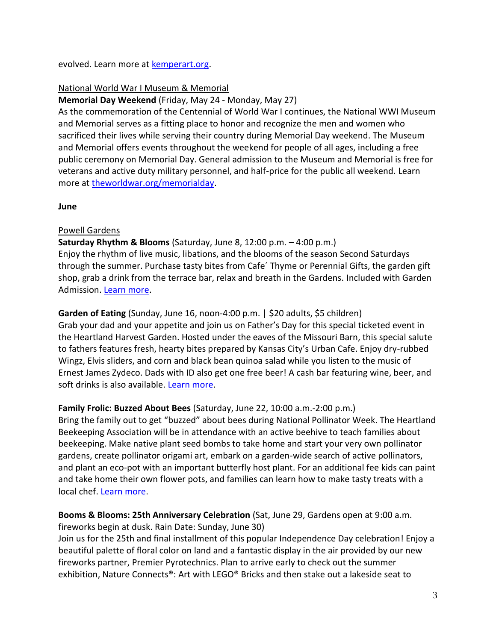evolved. Learn more at [kemperart.org.](https://www.kemperart.org/)

### National World War I Museum & Memorial

**Memorial Day Weekend** (Friday, May 24 - Monday, May 27)

As the commemoration of the Centennial of World War I continues, the National WWI Museum and Memorial serves as a fitting place to honor and recognize the men and women who sacrificed their lives while serving their country during Memorial Day weekend. The Museum and Memorial offers events throughout the weekend for people of all ages, including a free public ceremony on Memorial Day. General admission to the Museum and Memorial is free for veterans and active duty military personnel, and half-price for the public all weekend. Learn more at [theworldwar.org/memorialday.](https://www.theworldwar.org/memorialday)

**June**

### Powell Gardens

**Saturday Rhythm & Blooms** (Saturday, June 8, 12:00 p.m. – 4:00 p.m.) Enjoy the rhythm of live music, libations, and the blooms of the season Second Saturdays through the summer. Purchase tasty bites from Cafe´ Thyme or Perennial Gifts, the garden gift shop, grab a drink from the terrace bar, relax and breath in the Gardens. Included with Garden Admission. [Learn more.](https://powellgardens.org/homepage/events-programs-exhibitions/calendar/)

**Garden of Eating** (Sunday, June 16, noon-4:00 p.m. | \$20 adults, \$5 children) Grab your dad and your appetite and join us on Father's Day for this special ticketed event in the Heartland Harvest Garden. Hosted under the eaves of the Missouri Barn, this special salute to fathers features fresh, hearty bites prepared by Kansas City's Urban Cafe. Enjoy dry-rubbed Wingz, Elvis sliders, and corn and black bean quinoa salad while you listen to the music of Ernest James Zydeco. Dads with ID also get one free beer! A cash bar featuring wine, beer, and soft drinks is also available. [Learn more.](https://powellgardens.org/homepage/events-programs-exhibitions/calendar/)

### **Family Frolic: Buzzed About Bees** (Saturday, June 22, 10:00 a.m.-2:00 p.m.)

Bring the family out to get "buzzed" about bees during National Pollinator Week. The Heartland Beekeeping Association will be in attendance with an active beehive to teach families about beekeeping. Make native plant seed bombs to take home and start your very own pollinator gardens, create pollinator origami art, embark on a garden-wide search of active pollinators, and plant an eco-pot with an important butterfly host plant. For an additional fee kids can paint and take home their own flower pots, and families can learn how to make tasty treats with a local chef. [Learn more.](https://powellgardens.org/homepage/events-programs-exhibitions/calendar/)

**Booms & Blooms: 25th Anniversary Celebration** (Sat, June 29, Gardens open at 9:00 a.m. fireworks begin at dusk. Rain Date: Sunday, June 30)

Join us for the 25th and final installment of this popular Independence Day celebration! Enjoy a beautiful palette of floral color on land and a fantastic display in the air provided by our new fireworks partner, Premier Pyrotechnics. Plan to arrive early to check out the summer exhibition, Nature Connects®: Art with LEGO® Bricks and then stake out a lakeside seat to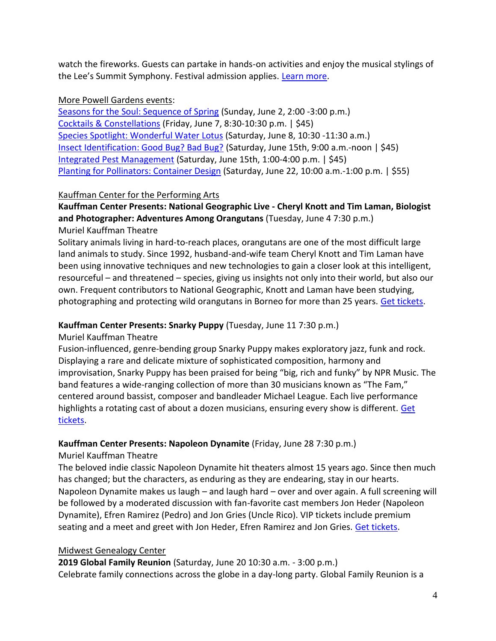watch the fireworks. Guests can partake in hands-on activities and enjoy the musical stylings of the Lee's Summit Symphony. Festival admission applies. [Learn more.](https://powellgardens.org/homepage/events-programs-exhibitions/powell-gardens-festivals/booms-blooms/)

### More Powell Gardens events:

[Seasons for the Soul: Sequence of Spring](https://powellgardens.org/homepage/events-programs-exhibitions/calendar/) (Sunday, June 2, 2:00 -3:00 p.m.) [Cocktails & Constellations](https://powellgardens.org/homepage/events-programs-exhibitions/calendar/) (Friday, June 7, 8:30-10:30 p.m. | \$45) [Species Spotlight: Wonderful Water Lotus](https://powellgardens.org/homepage/events-programs-exhibitions/calendar/) (Saturday, June 8, 10:30 -11:30 a.m.) [Insect Identification: Good Bug? Bad Bug?](https://powellgardens.org/homepage/events-programs-exhibitions/calendar/) (Saturday, June 15th, 9:00 a.m.-noon | \$45) [Integrated Pest Management](https://powellgardens.org/homepage/events-programs-exhibitions/calendar/) (Saturday, June 15th, 1:00-4:00 p.m. | \$45) [Planting for Pollinators: Container Design](https://powellgardens.org/homepage/events-programs-exhibitions/calendar/) (Saturday, June 22, 10:00 a.m.-1:00 p.m. | \$55)

# Kauffman Center for the Performing Arts

**Kauffman Center Presents: National Geographic Live - Cheryl Knott and Tim Laman, Biologist and Photographer: Adventures Among Orangutans** (Tuesday, June 4 7:30 p.m.) Muriel Kauffman Theatre

Solitary animals living in hard-to-reach places, orangutans are one of the most difficult large land animals to study. Since 1992, husband-and-wife team Cheryl Knott and Tim Laman have been using innovative techniques and new technologies to gain a closer look at this intelligent, resourceful – and threatened – species, giving us insights not only into their world, but also our own. Frequent contributors to National Geographic, Knott and Laman have been studying, photographing and protecting wild orangutans in Borneo for more than 25 years. [Get tickets.](https://tickets.kauffmancenter.org/orangutans/14094)

# **Kauffman Center Presents: Snarky Puppy** (Tuesday, June 11 7:30 p.m.)

Muriel Kauffman Theatre

Fusion-influenced, genre-bending group Snarky Puppy makes exploratory jazz, funk and rock. Displaying a rare and delicate mixture of sophisticated composition, harmony and improvisation, Snarky Puppy has been praised for being "big, rich and funky" by NPR Music. The band features a wide-ranging collection of more than 30 musicians known as "The Fam," centered around bassist, composer and bandleader Michael League. Each live performance highlights a rotating cast of about a dozen musicians, ensuring every show is different. Get [tickets.](https://tickets.kauffmancenter.org/snarkypuppy/15003)

# **Kauffman Center Presents: Napoleon Dynamite** (Friday, June 28 7:30 p.m.)

# Muriel Kauffman Theatre

The beloved indie classic Napoleon Dynamite hit theaters almost 15 years ago. Since then much has changed; but the characters, as enduring as they are endearing, stay in our hearts. Napoleon Dynamite makes us laugh – and laugh hard – over and over again. A full screening will be followed by a moderated discussion with fan-favorite cast members Jon Heder (Napoleon Dynamite), Efren Ramirez (Pedro) and Jon Gries (Uncle Rico). VIP tickets include premium seating and a meet and greet with Jon Heder, Efren Ramirez and Jon Gries. [Get tickets.](https://tickets.kauffmancenter.org/napoleon/14978)

# Midwest Genealogy Center

**2019 Global Family Reunion** (Saturday, June 20 10:30 a.m. - 3:00 p.m.) Celebrate family connections across the globe in a day-long party. Global Family Reunion is a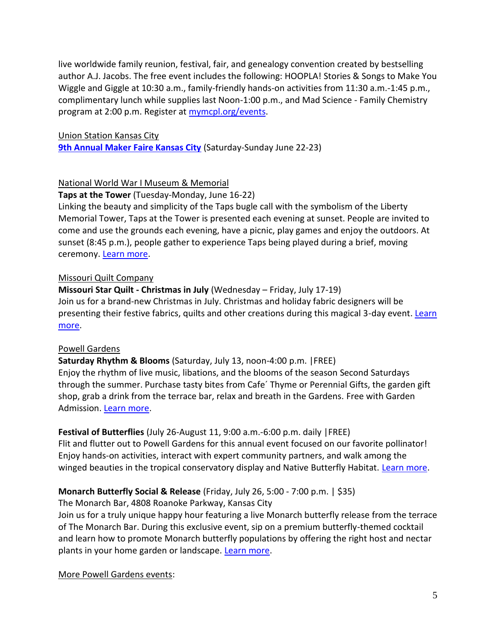live worldwide family reunion, festival, fair, and genealogy convention created by bestselling author A.J. Jacobs. The free event includes the following: HOOPLA! Stories & Songs to Make You Wiggle and Giggle at 10:30 a.m., family-friendly hands-on activities from 11:30 a.m.-1:45 p.m., complimentary lunch while supplies last Noon-1:00 p.m., and Mad Science - Family Chemistry program at 2:00 p.m. Register at [mymcpl.org/events.](https://www.mymcpl.org/events)

### Union Station Kansas City

**[9th Annual Maker Faire Kansas City](https://kansascity.makerfaire.com/) (Saturday-Sunday June 22-23)** 

### National World War I Museum & Memorial

### **Taps at the Tower** (Tuesday-Monday, June 16-22)

Linking the beauty and simplicity of the Taps bugle call with the symbolism of the Liberty Memorial Tower, Taps at the Tower is presented each evening at sunset. People are invited to come and use the grounds each evening, have a picnic, play games and enjoy the outdoors. At sunset (8:45 p.m.), people gather to experience Taps being played during a brief, moving ceremony[. Learn more.](https://www.theworldwar.org/visit/taps)

### Missouri Quilt Company

**Missouri Star Quilt - Christmas in July** (Wednesday – Friday, July 17-19) Join us for a brand-new Christmas in July. Christmas and holiday fabric designers will be presenting their festive fabrics, quilts and other creations during this magical 3-day event. [Learn](https://www.missouriquiltco.com/msqc/events)  [more.](https://www.missouriquiltco.com/msqc/events)

### Powell Gardens

**Saturday Rhythm & Blooms** (Saturday, July 13, noon-4:00 p.m. |FREE) Enjoy the rhythm of live music, libations, and the blooms of the season Second Saturdays through the summer. Purchase tasty bites from Cafe´ Thyme or Perennial Gifts, the garden gift shop, grab a drink from the terrace bar, relax and breath in the Gardens. Free with Garden Admission. [Learn more.](https://powellgardens.org/homepage/events-programs-exhibitions/calendar/)

# **Festival of Butterflies** (July 26-August 11, 9:00 a.m.-6:00 p.m. daily |FREE)

Flit and flutter out to Powell Gardens for this annual event focused on our favorite pollinator! Enjoy hands-on activities, interact with expert community partners, and walk among the winged beauties in the tropical conservatory display and Native Butterfly Habitat. [Learn more.](https://powellgardens.org/homepage/events-programs-exhibitions/powell-gardens-festivals/festival-of-butterflies/)

# **Monarch Butterfly Social & Release** (Friday, July 26, 5:00 - 7:00 p.m. | \$35)

The Monarch Bar, 4808 Roanoke Parkway, Kansas City

Join us for a truly unique happy hour featuring a live Monarch butterfly release from the terrace of The Monarch Bar. During this exclusive event, sip on a premium butterfly-themed cocktail and learn how to promote Monarch butterfly populations by offering the right host and nectar plants in your home garden or landscape. [Learn more.](https://25043p.blackbaudhosting.com/25043p/monarch-butterfly-social--release)

More Powell Gardens events: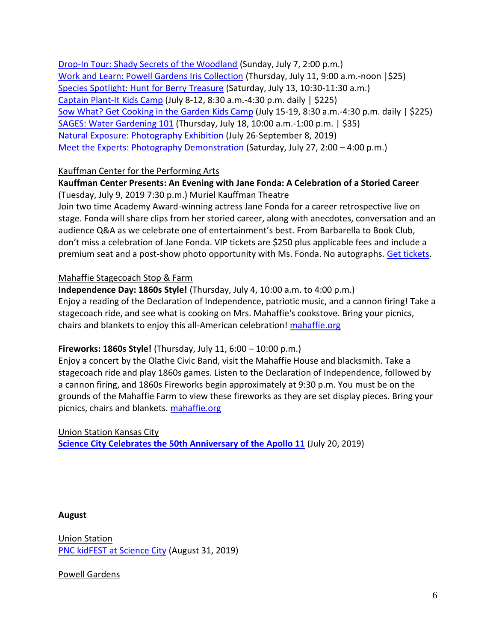[Drop-In Tour: Shady Secrets of the Woodland](https://powellgardens.org/homepage/events-programs-exhibitions/calendar/) (Sunday, July 7, 2:00 p.m.) [Work and Learn: Powell Gardens Iris Collection](https://25043p.blackbaudhosting.com/25043p/work-and-learn-powell-gardens-iris-collection) (Thursday, July 11, 9:00 a.m.-noon |\$25) [Species Spotlight: Hunt for Berry Treasure](https://powellgardens.org/homepage/events-programs-exhibitions/calendar/) (Saturday, July 13, 10:30-11:30 a.m.) [Captain Plant-It](https://powellgardens.org/homepage/events-programs-exhibitions/youth-family/kids-camps/) Kids Camp (July 8-12, 8:30 a.m.-4:30 p.m. daily | \$225) [Sow What? Get Cooking in the Garden](https://powellgardens.org/homepage/events-programs-exhibitions/youth-family/kids-camps/) Kids Camp (July 15-19, 8:30 a.m.-4:30 p.m. daily | \$225) [SAGES: Water Gardening 101](https://25043p.blackbaudhosting.com/25043p/sages-water-gardening-101) (Thursday, July 18, 10:00 a.m.-1:00 p.m. | \$35) [Natural Exposure: Photography Exhibition](https://powellgardens.org/homepage/events-programs-exhibitions/exhibits/visitor-center-gallery-artists/) (July 26-September 8, 2019) [Meet the Experts: Photography Demonstration](https://powellgardens.org/homepage/events-programs-exhibitions/calendar/) (Saturday, July 27, 2:00 – 4:00 p.m.)

### Kauffman Center for the Performing Arts

### **Kauffman Center Presents: An Evening with Jane Fonda: A Celebration of a Storied Career** (Tuesday, July 9, 2019 7:30 p.m.) Muriel Kauffman Theatre

Join two time Academy Award-winning actress Jane Fonda for a career retrospective live on stage. Fonda will share clips from her storied career, along with anecdotes, conversation and an audience Q&A as we celebrate one of entertainment's best. From Barbarella to Book Club, don't miss a celebration of Jane Fonda. VIP tickets are \$250 plus applicable fees and include a premium seat and a post-show photo opportunity with Ms. Fonda. No autographs. [Get tickets.](https://tickets.kauffmancenter.org/janefonda)

### Mahaffie Stagecoach Stop & Farm

**Independence Day: 1860s Style!** (Thursday, July 4, 10:00 a.m. to 4:00 p.m.) Enjoy a reading of the Declaration of Independence, patriotic music, and a cannon firing! Take a stagecoach ride, and see what is cooking on Mrs. Mahaffie's cookstove. Bring your picnics, chairs and blankets to enjoy this all-American celebration! [mahaffie.org](http://www.mahaffie.org/)

# **Fireworks: 1860s Style!** (Thursday, July 11, 6:00 – 10:00 p.m.)

Enjoy a concert by the Olathe Civic Band, visit the Mahaffie House and blacksmith. Take a stagecoach ride and play 1860s games. Listen to the Declaration of Independence, followed by a cannon firing, and 1860s Fireworks begin approximately at 9:30 p.m. You must be on the grounds of the Mahaffie Farm to view these fireworks as they are set display pieces. Bring your picnics, chairs and blankets. [mahaffie.org](http://www.mahaffie.org/)

Union Station Kansas City **[Science City Celebrates the 50th Anniversary of the Apollo 11](https://www.unionstation.org/)** (July 20, 2019)

### **August**

Union Station [PNC kidFEST at Science City](https://www.unionstation.org/sciencecity) (August 31, 2019)

Powell Gardens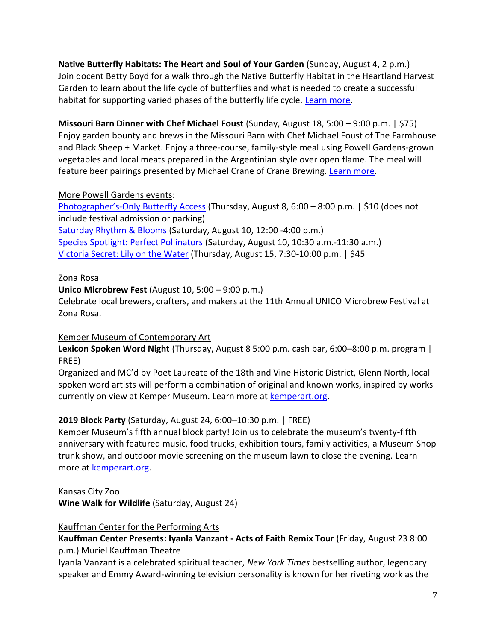**Native Butterfly Habitats: The Heart and Soul of Your Garden** (Sunday, August 4, 2 p.m.) Join docent Betty Boyd for a walk through the Native Butterfly Habitat in the Heartland Harvest Garden to learn about the life cycle of butterflies and what is needed to create a successful habitat for supporting varied phases of the butterfly life cycle. [Learn more.](https://powellgardens.org/homepage/events-programs-exhibitions/calendar/)

**Missouri Barn Dinner with Chef Michael Foust** (Sunday, August 18, 5:00 – 9:00 p.m. | \$75) Enjoy garden bounty and brews in the Missouri Barn with Chef Michael Foust of The Farmhouse and Black Sheep + Market. Enjoy a three-course, family-style meal using Powell Gardens-grown vegetables and local meats prepared in the Argentinian style over open flame. The meal will feature beer pairings presented by Michael Crane of Crane Brewing. [Learn more.](https://25043p.blackbaudhosting.com/25043p/missouri-barn-dinner-with-chef-michael-foust)

### More Powell Gardens events:

Photographer's[-Only Butterfly Access](https://25043p.blackbaudhosting.com/25043p/photographers-only-butterfly-access) (Thursday, August 8, 6:00 – 8:00 p.m. | \$10 (does not include festival admission or parking) [Saturday Rhythm & Blooms](https://powellgardens.org/homepage/events-programs-exhibitions/calendar/) (Saturday, August 10, 12:00 -4:00 p.m.) [Species Spotlight: Perfect Pollinators](https://powellgardens.org/homepage/events-programs-exhibitions/calendar/) (Saturday, August 10, 10:30 a.m.-11:30 a.m.) [Victoria Secret: Lily on the Water](https://25043p.blackbaudhosting.com/25043p/victoria-secret-lily-on-the-water) (Thursday, August 15, 7:30-10:00 p.m. | \$45

### Zona Rosa

Zona Rosa.

**Unico Microbrew Fest** (August 10, 5:00 – 9:00 p.m.) Celebrate local brewers, crafters, and makers at the 11th Annual UNICO Microbrew Festival at

# Kemper Museum of Contemporary Art

**Lexicon Spoken Word Night** (Thursday, August 8 5:00 p.m. cash bar, 6:00–8:00 p.m. program | FREE)

Organized and MC'd by Poet Laureate of the 18th and Vine Historic District, Glenn North, local spoken word artists will perform a combination of original and known works, inspired by works currently on view at Kemper Museum. Learn more at [kemperart.org.](https://www.kemperart.org/)

# **2019 Block Party** (Saturday, August 24, 6:00–10:30 p.m. | FREE)

Kemper Museum's fifth annual block party! Join us to celebrate the museum's twenty-fifth anniversary with featured music, food trucks, exhibition tours, family activities, a Museum Shop trunk show, and outdoor movie screening on the museum lawn to close the evening. Learn more at [kemperart.org.](https://www.kemperart.org/)

Kansas City Zoo

**Wine Walk for Wildlife** (Saturday, August 24)

### Kauffman Center for the Performing Arts

**Kauffman Center Presents: Iyanla Vanzant - Acts of Faith Remix Tour** (Friday, August 23 8:00 p.m.) Muriel Kauffman Theatre

Iyanla Vanzant is a celebrated spiritual teacher, *New York Times* bestselling author, legendary speaker and Emmy Award-winning television personality is known for her riveting work as the